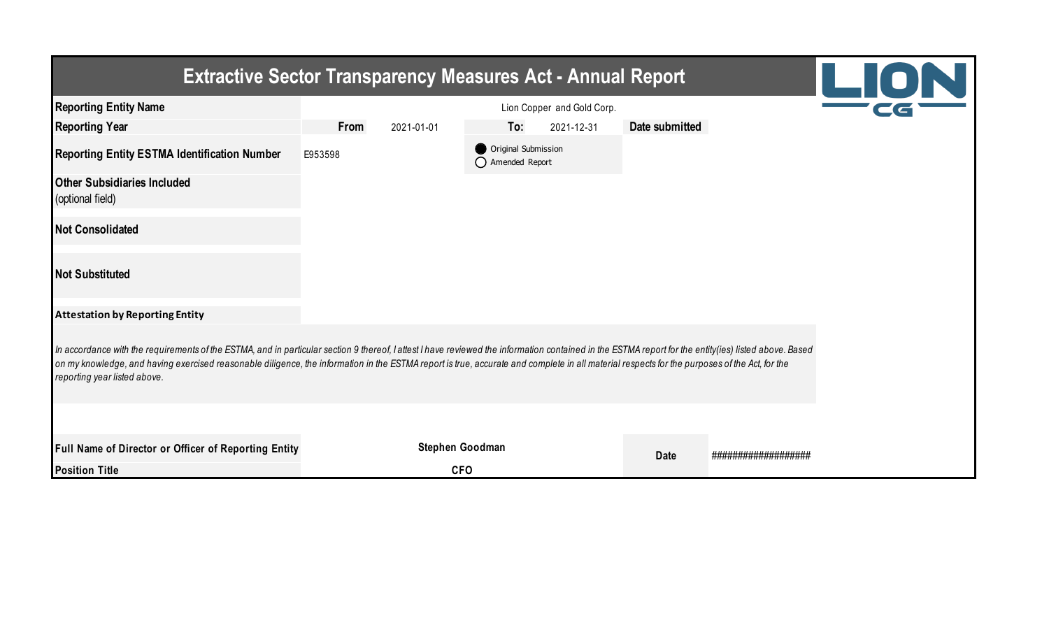| <b>Extractive Sector Transparency Measures Act - Annual Report</b>                                                                                                                                                                                                                                                                                                                                                                    |                    |                 |                                         |                            |                |                    | LION |  |  |  |
|---------------------------------------------------------------------------------------------------------------------------------------------------------------------------------------------------------------------------------------------------------------------------------------------------------------------------------------------------------------------------------------------------------------------------------------|--------------------|-----------------|-----------------------------------------|----------------------------|----------------|--------------------|------|--|--|--|
| <b>Reporting Entity Name</b>                                                                                                                                                                                                                                                                                                                                                                                                          |                    |                 |                                         | Lion Copper and Gold Corp. |                |                    |      |  |  |  |
| <b>Reporting Year</b>                                                                                                                                                                                                                                                                                                                                                                                                                 | From<br>2021-01-01 |                 | To:                                     | 2021-12-31                 | Date submitted |                    |      |  |  |  |
| <b>Reporting Entity ESTMA Identification Number</b>                                                                                                                                                                                                                                                                                                                                                                                   | E953598            |                 | Original Submission<br>◯ Amended Report |                            |                |                    |      |  |  |  |
| <b>Other Subsidiaries Included</b><br>(optional field)                                                                                                                                                                                                                                                                                                                                                                                |                    |                 |                                         |                            |                |                    |      |  |  |  |
| <b>Not Consolidated</b>                                                                                                                                                                                                                                                                                                                                                                                                               |                    |                 |                                         |                            |                |                    |      |  |  |  |
| <b>Not Substituted</b>                                                                                                                                                                                                                                                                                                                                                                                                                |                    |                 |                                         |                            |                |                    |      |  |  |  |
| <b>Attestation by Reporting Entity</b>                                                                                                                                                                                                                                                                                                                                                                                                |                    |                 |                                         |                            |                |                    |      |  |  |  |
| In accordance with the requirements of the ESTMA, and in particular section 9 thereof, I attest I have reviewed the information contained in the ESTMA report for the entity(ies) listed above. Based<br>on my knowledge, and having exercised reasonable diligence, the information in the ESTMA report is true, accurate and complete in all material respects for the purposes of the Act, for the<br>reporting year listed above. |                    |                 |                                         |                            |                |                    |      |  |  |  |
|                                                                                                                                                                                                                                                                                                                                                                                                                                       |                    |                 |                                         |                            |                |                    |      |  |  |  |
| Full Name of Director or Officer of Reporting Entity                                                                                                                                                                                                                                                                                                                                                                                  |                    | Stephen Goodman |                                         |                            | <b>Date</b>    | ################## |      |  |  |  |
| <b>Position Title</b>                                                                                                                                                                                                                                                                                                                                                                                                                 |                    | <b>CFO</b>      |                                         |                            |                |                    |      |  |  |  |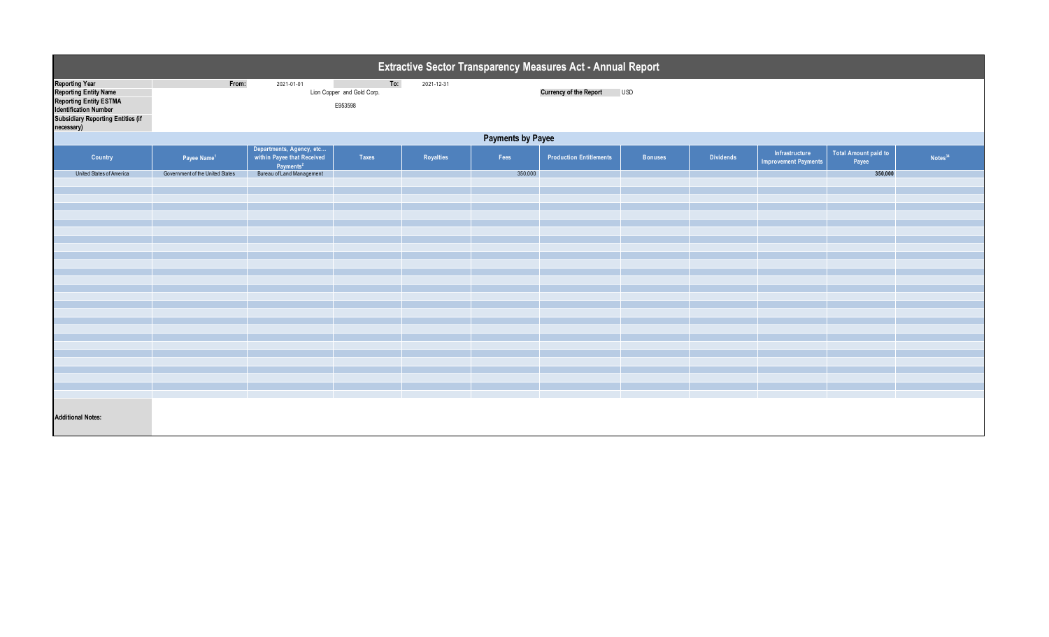| Extractive Sector Transparency Measures Act - Annual Report                                                                                                        |                                                                                                                                  |                                                                                 |       |           |         |                                |                |                  |                                               |                                      |                     |  |
|--------------------------------------------------------------------------------------------------------------------------------------------------------------------|----------------------------------------------------------------------------------------------------------------------------------|---------------------------------------------------------------------------------|-------|-----------|---------|--------------------------------|----------------|------------------|-----------------------------------------------|--------------------------------------|---------------------|--|
| <b>Reporting Year</b><br><b>Reporting Entity Name</b><br>Reporting Entity ESTMA<br>Identification Number<br><b>Subsidiary Reporting Entities (if</b><br>necessary) | To:<br>From:<br>2021-01-01<br>2021-12-31<br><b>Currency of the Report</b><br><b>USD</b><br>Lion Copper and Gold Corp.<br>E953598 |                                                                                 |       |           |         |                                |                |                  |                                               |                                      |                     |  |
|                                                                                                                                                                    | <b>Payments by Payee</b>                                                                                                         |                                                                                 |       |           |         |                                |                |                  |                                               |                                      |                     |  |
| Country                                                                                                                                                            | Payee Name <sup>1</sup>                                                                                                          | Departments, Agency, etc<br>within Payee that Received<br>Payments <sup>2</sup> | Taxes | Royalties | Fees    | <b>Production Entitlements</b> | <b>Bonuses</b> | <b>Dividends</b> | Infrastructure<br><b>Improvement Payments</b> | <b>Total Amount paid to</b><br>Payee | Notes <sup>34</sup> |  |
| United States of America                                                                                                                                           | Government of the United States                                                                                                  | Bureau of Land Management                                                       |       |           | 350,000 |                                |                |                  |                                               | 350,000                              |                     |  |
|                                                                                                                                                                    |                                                                                                                                  |                                                                                 |       |           |         |                                |                |                  |                                               |                                      |                     |  |
|                                                                                                                                                                    |                                                                                                                                  |                                                                                 |       |           |         |                                |                |                  |                                               |                                      |                     |  |
|                                                                                                                                                                    |                                                                                                                                  |                                                                                 |       |           |         |                                |                |                  |                                               |                                      |                     |  |
|                                                                                                                                                                    |                                                                                                                                  |                                                                                 |       |           |         |                                |                |                  |                                               |                                      |                     |  |
|                                                                                                                                                                    |                                                                                                                                  |                                                                                 |       |           |         |                                |                |                  |                                               |                                      |                     |  |
|                                                                                                                                                                    |                                                                                                                                  |                                                                                 |       |           |         |                                |                |                  |                                               |                                      |                     |  |
|                                                                                                                                                                    |                                                                                                                                  |                                                                                 |       |           |         |                                |                |                  |                                               |                                      |                     |  |
|                                                                                                                                                                    |                                                                                                                                  |                                                                                 |       |           |         |                                |                |                  |                                               |                                      |                     |  |
|                                                                                                                                                                    |                                                                                                                                  |                                                                                 |       |           |         |                                |                |                  |                                               |                                      |                     |  |
|                                                                                                                                                                    |                                                                                                                                  |                                                                                 |       |           |         |                                |                |                  |                                               |                                      |                     |  |
|                                                                                                                                                                    |                                                                                                                                  |                                                                                 |       |           |         |                                |                |                  |                                               |                                      |                     |  |
|                                                                                                                                                                    |                                                                                                                                  |                                                                                 |       |           |         |                                |                |                  |                                               |                                      |                     |  |
|                                                                                                                                                                    |                                                                                                                                  |                                                                                 |       |           |         |                                |                |                  |                                               |                                      |                     |  |
|                                                                                                                                                                    |                                                                                                                                  |                                                                                 |       |           |         |                                |                |                  |                                               |                                      |                     |  |
|                                                                                                                                                                    |                                                                                                                                  |                                                                                 |       |           |         |                                |                |                  |                                               |                                      |                     |  |
|                                                                                                                                                                    |                                                                                                                                  |                                                                                 |       |           |         |                                |                |                  |                                               |                                      |                     |  |
| <b>Additional Notes:</b>                                                                                                                                           |                                                                                                                                  |                                                                                 |       |           |         |                                |                |                  |                                               |                                      |                     |  |